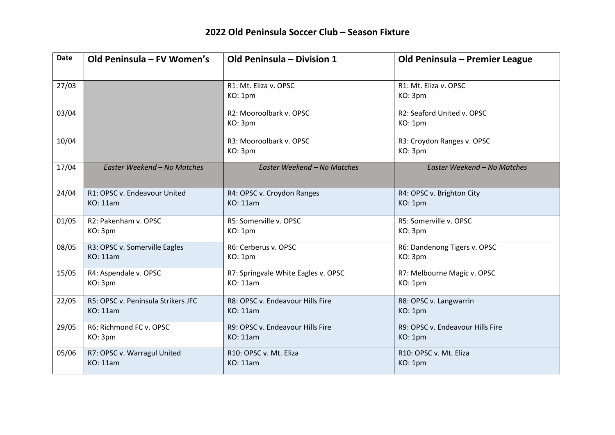| <b>Date</b> | Old Peninsula - FV Women's         | Old Peninsula - Division 1          | Old Peninsula - Premier League        |
|-------------|------------------------------------|-------------------------------------|---------------------------------------|
| 27/03       |                                    | R1: Mt. Eliza v. OPSC<br>KO: 1pm    | R1: Mt. Eliza v. OPSC<br>KO: 3pm      |
| 03/04       |                                    | R2: Mooroolbark v. OPSC<br>KO: 3pm  | R2: Seaford United v. OPSC<br>KO: 1pm |
| 10/04       |                                    | R3: Mooroolbark v. OPSC<br>KO: 3pm  | R3: Croydon Ranges v. OPSC<br>KO: 3pm |
| 17/04       | Easter Weekend - No Matches        | Easter Weekend - No Matches         | Easter Weekend - No Matches           |
| 24/04       | R1: OPSC v. Endeavour United       | R4: OPSC v. Croydon Ranges          | R4: OPSC v. Brighton City             |
|             | <b>KO: 11am</b>                    | <b>KO: 11am</b>                     | KO: 1pm                               |
| 01/05       | R2: Pakenham v. OPSC               | R5: Somerville v. OPSC              | R5: Somerville v. OPSC                |
|             | KO: 3pm                            | KO: 1pm                             | KO: 3pm                               |
| 08/05       | R3: OPSC v. Somerville Eagles      | R6: Cerberus v. OPSC                | R6: Dandenong Tigers v. OPSC          |
|             | <b>KO: 11am</b>                    | KO: 1pm                             | KO: 3pm                               |
| 15/05       | R4: Aspendale v. OPSC              | R7: Springvale White Eagles v. OPSC | R7: Melbourne Magic v. OPSC           |
|             | KO: 3pm                            | <b>KO: 11am</b>                     | KO: 1pm                               |
| 22/05       | R5: OPSC v. Peninsula Strikers JFC | R8: OPSC v. Endeavour Hills Fire    | R8: OPSC v. Langwarrin                |
|             | <b>KO: 11am</b>                    | <b>KO: 11am</b>                     | KO: 1pm                               |
| 29/05       | R6: Richmond FC v. OPSC            | R9: OPSC v. Endeavour Hills Fire    | R9: OPSC v. Endeavour Hills Fire      |
|             | KO: 3pm                            | <b>KO</b> : 11am                    | KO: 1pm                               |
| 05/06       | R7: OPSC v. Warragul United        | R10: OPSC v. Mt. Eliza              | R10: OPSC v. Mt. Eliza                |
|             | <b>KO: 11am</b>                    | <b>KO: 11am</b>                     | KO: 1pm                               |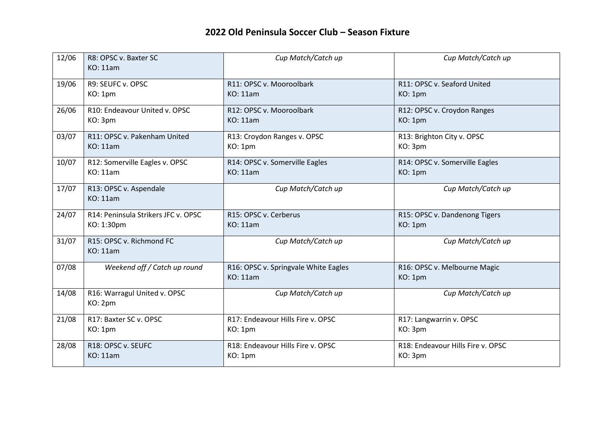| 12/06 | R8: OPSC v. Baxter SC<br><b>KO: 11am</b>    | Cup Match/Catch up                                      | Cup Match/Catch up                      |
|-------|---------------------------------------------|---------------------------------------------------------|-----------------------------------------|
| 19/06 | R9: SEUFC v. OPSC                           | R11: OPSC v. Mooroolbark                                | R11: OPSC v. Seaford United             |
|       | KO: 1pm                                     | KO: 11am                                                | KO: 1pm                                 |
| 26/06 | R10: Endeavour United v. OPSC               | R12: OPSC v. Mooroolbark                                | R12: OPSC v. Croydon Ranges             |
|       | KO: 3pm                                     | KO: 11am                                                | KO: 1pm                                 |
| 03/07 | R11: OPSC v. Pakenham United                | R13: Croydon Ranges v. OPSC                             | R13: Brighton City v. OPSC              |
|       | <b>KO: 11am</b>                             | KO: 1pm                                                 | KO: 3pm                                 |
| 10/07 | R12: Somerville Eagles v. OPSC              | R14: OPSC v. Somerville Eagles                          | R14: OPSC v. Somerville Eagles          |
|       | <b>KO: 11am</b>                             | <b>KO: 11am</b>                                         | KO: 1pm                                 |
| 17/07 | R13: OPSC v. Aspendale<br><b>KO: 11am</b>   | Cup Match/Catch up                                      | Cup Match/Catch up                      |
| 24/07 | R14: Peninsula Strikers JFC v. OPSC         | R15: OPSC v. Cerberus                                   | R15: OPSC v. Dandenong Tigers           |
|       | KO: 1:30pm                                  | <b>KO: 11am</b>                                         | KO: 1pm                                 |
| 31/07 | R15: OPSC v. Richmond FC<br><b>KO: 11am</b> | Cup Match/Catch up                                      | Cup Match/Catch up                      |
| 07/08 | Weekend off / Catch up round                | R16: OPSC v. Springvale White Eagles<br><b>KO: 11am</b> | R16: OPSC v. Melbourne Magic<br>KO: 1pm |
| 14/08 | R16: Warragul United v. OPSC<br>KO: 2pm     | Cup Match/Catch up                                      | Cup Match/Catch up                      |
| 21/08 | R17: Baxter SC v. OPSC                      | R17: Endeavour Hills Fire v. OPSC                       | R17: Langwarrin v. OPSC                 |
|       | KO: 1pm                                     | KO: 1pm                                                 | KO: 3pm                                 |
| 28/08 | R18: OPSC v. SEUFC                          | R18: Endeavour Hills Fire v. OPSC                       | R18: Endeavour Hills Fire v. OPSC       |
|       | <b>KO: 11am</b>                             | KO: 1pm                                                 | KO: 3pm                                 |